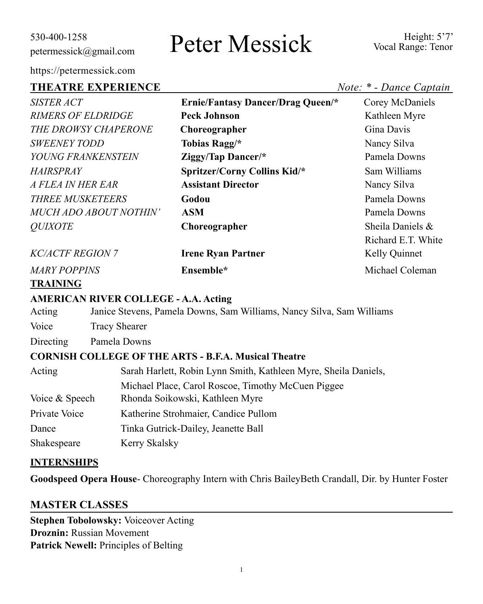# 530-400-1258

## 530-400-1258 <br>
petermessick@gmail.com Peter Messick Wooal Range: Tenor

### Vocal Range: Tenor

https://petermessick.com

| THEATRE EXPERIENCE        |                                          | Note: * - Dance Captain |
|---------------------------|------------------------------------------|-------------------------|
| <b>SISTER ACT</b>         | <b>Ernie/Fantasy Dancer/Drag Queen/*</b> | Corey McDaniels         |
| <b>RIMERS OF ELDRIDGE</b> | <b>Peck Johnson</b>                      | Kathleen Myre           |
| THE DROWSY CHAPERONE      | Choreographer                            | Gina Davis              |
| <b>SWEENEY TODD</b>       | Tobias Ragg/*                            | Nancy Silva             |
| YOUNG FRANKENSTEIN        | Ziggy/Tap Dancer/*                       | Pamela Downs            |
| <b>HAIRSPRAY</b>          | Spritzer/Corny Collins Kid/*             | Sam Williams            |
| A FLEA IN HER EAR         | <b>Assistant Director</b>                | Nancy Silva             |
| <b>THREE MUSKETEERS</b>   | Godou                                    | Pamela Downs            |
| MUCH ADO ABOUT NOTHIN'    | <b>ASM</b>                               | Pamela Downs            |
| <b>OUIXOTE</b>            | Choreographer                            | Sheila Daniels &        |
|                           |                                          | Richard E.T. White      |
| <b>KC/ACTF REGION 7</b>   | <b>Irene Ryan Partner</b>                | Kelly Quinnet           |
| <b>MARY POPPINS</b>       | Ensemble*                                | Michael Coleman         |

#### **TRAINING**

#### **AMERICAN RIVER COLLEGE - A.A. Acting**

| Acting                                                      | Janice Stevens, Pamela Downs, Sam Williams, Nancy Silva, Sam Williams |  |  |
|-------------------------------------------------------------|-----------------------------------------------------------------------|--|--|
| Voice                                                       | <b>Tracy Shearer</b>                                                  |  |  |
| Directing                                                   | Pamela Downs                                                          |  |  |
| <b>CORNISH COLLEGE OF THE ARTS - B.F.A. Musical Theatre</b> |                                                                       |  |  |
| Acting                                                      | Sarah Harlett, Robin Lynn Smith, Kathleen Myre, Sheila Daniels,       |  |  |
|                                                             |                                                                       |  |  |

| 110            | $\alpha$ , $\beta$ , $\beta$ , $\beta$ , $\beta$ , $\beta$ , $\beta$ , $\beta$ , $\beta$ , $\beta$ , $\beta$ , $\beta$ , $\beta$ , $\beta$ , $\beta$ , $\beta$ , $\beta$ , $\beta$ , $\beta$ , $\beta$ , $\beta$ , $\beta$ , $\beta$ , $\beta$ , $\beta$ , $\beta$ , $\beta$ , $\beta$ , $\beta$ , $\beta$ , $\beta$ , $\beta$ |  |
|----------------|--------------------------------------------------------------------------------------------------------------------------------------------------------------------------------------------------------------------------------------------------------------------------------------------------------------------------------|--|
|                | Michael Place, Carol Roscoe, Timothy McCuen Piggee                                                                                                                                                                                                                                                                             |  |
| Voice & Speech | Rhonda Soikowski, Kathleen Myre                                                                                                                                                                                                                                                                                                |  |
| Private Voice  | Katherine Strohmaier, Candice Pullom                                                                                                                                                                                                                                                                                           |  |
| Dance          | Tinka Gutrick-Dailey, Jeanette Ball                                                                                                                                                                                                                                                                                            |  |
| Shakespeare    | Kerry Skalsky                                                                                                                                                                                                                                                                                                                  |  |
|                |                                                                                                                                                                                                                                                                                                                                |  |

#### **INTERNSHIPS**

**Goodspeed Opera House**- Choreography Intern with Chris BaileyBeth Crandall, Dir. by Hunter Foster

### **MASTER CLASSES**

**Stephen Tobolowsky:** Voiceover Acting **Droznin:** Russian Movement **Patrick Newell:** Principles of Belting